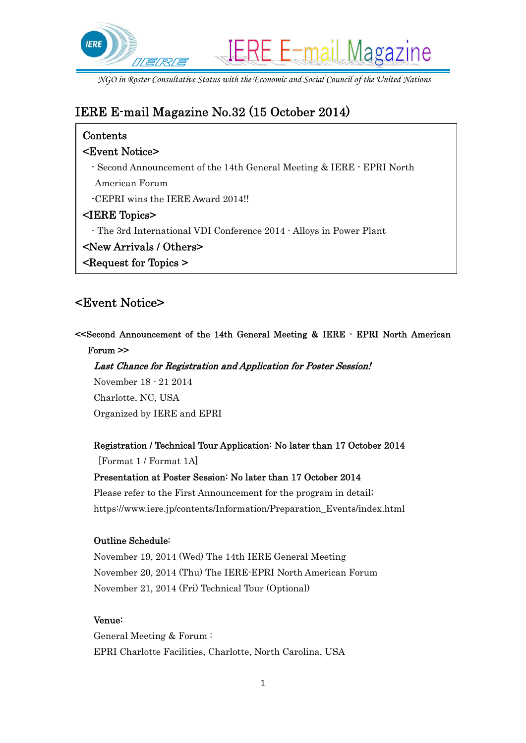

# IERE E-mail Magazine No.32 (15 October 2014)

# Contents

### <Event Notice>

- Second Announcement of the 14th General Meeting & IERE EPRI North
- American Forum
- -CEPRI wins the IERE Award 2014!!

### <IERE Topics>

- The 3rd International VDI Conference 2014 Alloys in Power Plant
- <New Arrivals / Others>
- <Request for Topics >

# <Event Notice>

### <<Second Announcement of the 14th General Meeting & IERE - EPRI North American Forum >>

# Last Chance for Registration and Application for Poster Session!

November 18 - 21 2014 Charlotte, NC, USA Organized by IERE and EPRI

### Registration / Technical Tour Application: No later than 17 October 2014

[Format 1 / Format 1A]

### Presentation at Poster Session: No later than 17 October 2014

Please refer to the First Announcement for the program in detail; https://www.iere.jp/contents/Information/Preparation\_Events/index.html

### Outline Schedule:

November 19, 2014 (Wed) The 14th IERE General Meeting November 20, 2014 (Thu) The IERE-EPRI North American Forum November 21, 2014 (Fri) Technical Tour (Optional)

#### Venue:

General Meeting & Forum : EPRI Charlotte Facilities, Charlotte, North Carolina, USA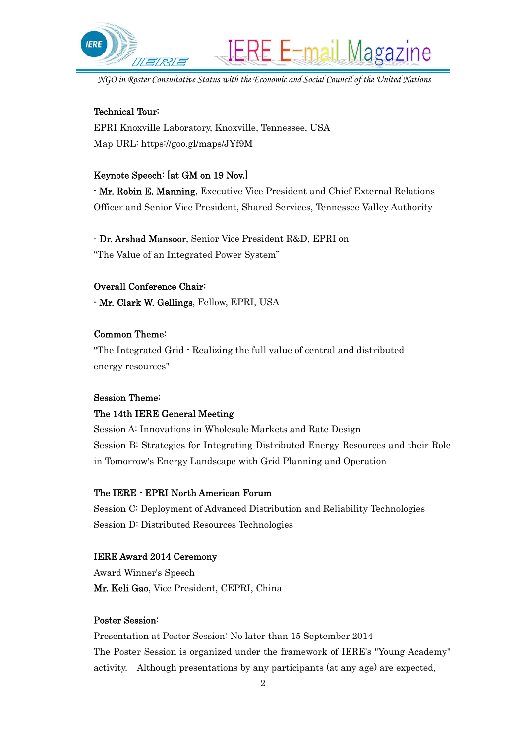

**IERE E-mail Magazine** 

#### Technical Tour:

EPRI Knoxville Laboratory, Knoxville, Tennessee, USA Map URL: https://goo.gl/maps/JYf9M

#### Keynote Speech: [at GM on 19 Nov.]

- Mr. Robin E. Manning, Executive Vice President and Chief External Relations Officer and Senior Vice President, Shared Services, Tennessee Valley Authority

- Dr. Arshad Mansoor, Senior Vice President R&D, EPRI on "The Value of an Integrated Power System"

### Overall Conference Chair:

- Mr. Clark W. Gellings, Fellow, EPRI, USA

#### Common Theme:

"The Integrated Grid - Realizing the full value of central and distributed energy resources"

#### Session Theme:

#### The 14th IERE General Meeting

Session A: Innovations in Wholesale Markets and Rate Design Session B: Strategies for Integrating Distributed Energy Resources and their Role in Tomorrow's Energy Landscape with Grid Planning and Operation

#### The IERE - EPRI North American Forum

Session C: Deployment of Advanced Distribution and Reliability Technologies Session D: Distributed Resources Technologies

#### IERE Award 2014 Ceremony

Award Winner's Speech Mr. Keli Gao, Vice President, CEPRI, China

#### Poster Session:

Presentation at Poster Session: No later than 15 September 2014 The Poster Session is organized under the framework of IERE's "Young Academy" activity. Although presentations by any participants (at any age) are expected,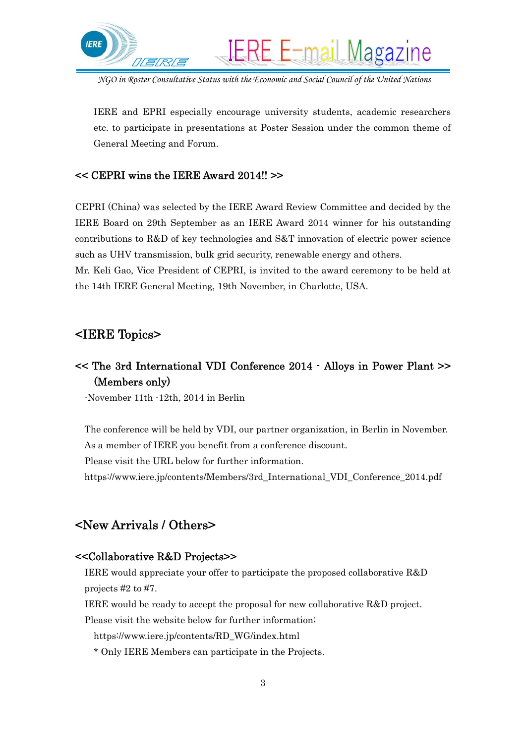

IERE and EPRI especially encourage university students, academic researchers etc. to participate in presentations at Poster Session under the common theme of General Meeting and Forum.

### << CEPRI wins the IERE Award 2014!! >>

CEPRI (China) was selected by the IERE Award Review Committee and decided by the IERE Board on 29th September as an IERE Award 2014 winner for his outstanding contributions to R&D of key technologies and S&T innovation of electric power science such as UHV transmission, bulk grid security, renewable energy and others. Mr. Keli Gao, Vice President of CEPRI, is invited to the award ceremony to be held at

the 14th IERE General Meeting, 19th November, in Charlotte, USA.

### <IERE Topics>

# << The 3rd International VDI Conference 2014 - Alloys in Power Plant >> (Members only)

-November 11th -12th, 2014 in Berlin

The conference will be held by VDI, our partner organization, in Berlin in November. As a member of IERE you benefit from a conference discount.

Please visit the URL below for further information.

https://www.iere.jp/contents/Members/3rd\_International\_VDI\_Conference\_2014.pdf

# <New Arrivals / Others>

### <<Collaborative R&D Projects>>

IERE would appreciate your offer to participate the proposed collaborative R&D projects #2 to #7.

IERE would be ready to accept the proposal for new collaborative R&D project.

Please visit the website below for further information;

https://www.iere.jp/contents/RD\_WG/index.html

\* Only IERE Members can participate in the Projects.